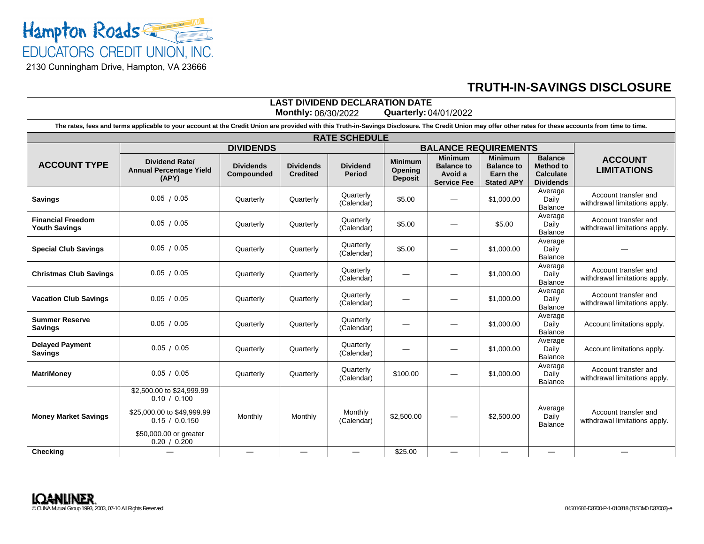

## **TRUTH-IN-SAVINGS DISCLOSURE**

| <b>LAST DIVIDEND DECLARATION DATE</b><br>Monthly: 06/30/2022<br><b>Quarterly: 04/01/2022</b>                                                                                                              |                                                                                                                                     |                                |                                     |                                  |                                             |                                                                      |                                                                      |                                                                            |                                                       |
|-----------------------------------------------------------------------------------------------------------------------------------------------------------------------------------------------------------|-------------------------------------------------------------------------------------------------------------------------------------|--------------------------------|-------------------------------------|----------------------------------|---------------------------------------------|----------------------------------------------------------------------|----------------------------------------------------------------------|----------------------------------------------------------------------------|-------------------------------------------------------|
| The rates, fees and terms applicable to your account at the Credit Union are provided with this Truth-in-Savings Disclosure. The Credit Union may offer other rates for these accounts from time to time. |                                                                                                                                     |                                |                                     |                                  |                                             |                                                                      |                                                                      |                                                                            |                                                       |
| <b>RATE SCHEDULE</b>                                                                                                                                                                                      |                                                                                                                                     |                                |                                     |                                  |                                             |                                                                      |                                                                      |                                                                            |                                                       |
|                                                                                                                                                                                                           | <b>DIVIDENDS</b>                                                                                                                    |                                |                                     |                                  | <b>BALANCE REQUIREMENTS</b>                 |                                                                      |                                                                      |                                                                            |                                                       |
| <b>ACCOUNT TYPE</b>                                                                                                                                                                                       | <b>Dividend Rate/</b><br><b>Annual Percentage Yield</b><br>(APY)                                                                    | <b>Dividends</b><br>Compounded | <b>Dividends</b><br><b>Credited</b> | <b>Dividend</b><br><b>Period</b> | <b>Minimum</b><br>Opening<br><b>Deposit</b> | <b>Minimum</b><br><b>Balance to</b><br>Avoid a<br><b>Service Fee</b> | <b>Minimum</b><br><b>Balance to</b><br>Earn the<br><b>Stated APY</b> | <b>Balance</b><br><b>Method to</b><br><b>Calculate</b><br><b>Dividends</b> | <b>ACCOUNT</b><br><b>LIMITATIONS</b>                  |
| <b>Savings</b>                                                                                                                                                                                            | 0.05 / 0.05                                                                                                                         | Quarterly                      | Quarterly                           | Quarterly<br>(Calendar)          | \$5.00                                      |                                                                      | \$1,000.00                                                           | Average<br>Daily<br>Balance                                                | Account transfer and<br>withdrawal limitations apply. |
| <b>Financial Freedom</b><br><b>Youth Savings</b>                                                                                                                                                          | 0.05 / 0.05                                                                                                                         | Quarterly                      | Quarterly                           | Quarterly<br>(Calendar)          | \$5.00                                      |                                                                      | \$5.00                                                               | Average<br>Daily<br>Balance                                                | Account transfer and<br>withdrawal limitations apply. |
| <b>Special Club Savings</b>                                                                                                                                                                               | 0.05 / 0.05                                                                                                                         | Quarterly                      | Quarterly                           | Quarterly<br>(Calendar)          | \$5.00                                      | -                                                                    | \$1,000.00                                                           | Average<br>Daily<br>Balance                                                |                                                       |
| <b>Christmas Club Savings</b>                                                                                                                                                                             | 0.05 / 0.05                                                                                                                         | Quarterly                      | Quarterly                           | Quarterly<br>(Calendar)          |                                             |                                                                      | \$1,000.00                                                           | Average<br>Daily<br>Balance                                                | Account transfer and<br>withdrawal limitations apply. |
| <b>Vacation Club Savings</b>                                                                                                                                                                              | 0.05 / 0.05                                                                                                                         | Quarterly                      | Quarterlv                           | Quarterly<br>(Calendar)          |                                             |                                                                      | \$1,000.00                                                           | Average<br>Daily<br><b>Balance</b>                                         | Account transfer and<br>withdrawal limitations apply. |
| <b>Summer Reserve</b><br><b>Savings</b>                                                                                                                                                                   | 0.05 / 0.05                                                                                                                         | Quarterly                      | Quarterly                           | Quarterly<br>(Calendar)          |                                             |                                                                      | \$1,000.00                                                           | Average<br>Daily<br>Balance                                                | Account limitations apply.                            |
| <b>Delayed Payment</b><br><b>Savings</b>                                                                                                                                                                  | 0.05 / 0.05                                                                                                                         | Quarterly                      | Quarterly                           | Quarterly<br>(Calendar)          | --                                          |                                                                      | \$1,000.00                                                           | Average<br>Daily<br>Balance                                                | Account limitations apply.                            |
| <b>MatriMoney</b>                                                                                                                                                                                         | 0.05 / 0.05                                                                                                                         | Quarterly                      | Quarterly                           | Quarterly<br>(Calendar)          | \$100.00                                    |                                                                      | \$1,000.00                                                           | Average<br>Daily<br><b>Balance</b>                                         | Account transfer and<br>withdrawal limitations apply. |
| <b>Money Market Savings</b>                                                                                                                                                                               | \$2,500.00 to \$24,999.99<br>0.10 / 0.100<br>\$25,000.00 to \$49,999.99<br>0.15 / 0.0.150<br>\$50,000.00 or greater<br>0.20 / 0.200 | Monthly                        | Monthly                             | Monthly<br>(Calendar)            | \$2,500.00                                  |                                                                      | \$2,500.00                                                           | Average<br>Daily<br>Balance                                                | Account transfer and<br>withdrawal limitations apply. |
| <b>Checking</b>                                                                                                                                                                                           |                                                                                                                                     |                                |                                     |                                  | \$25.00                                     |                                                                      |                                                                      | $\overline{\phantom{0}}$                                                   |                                                       |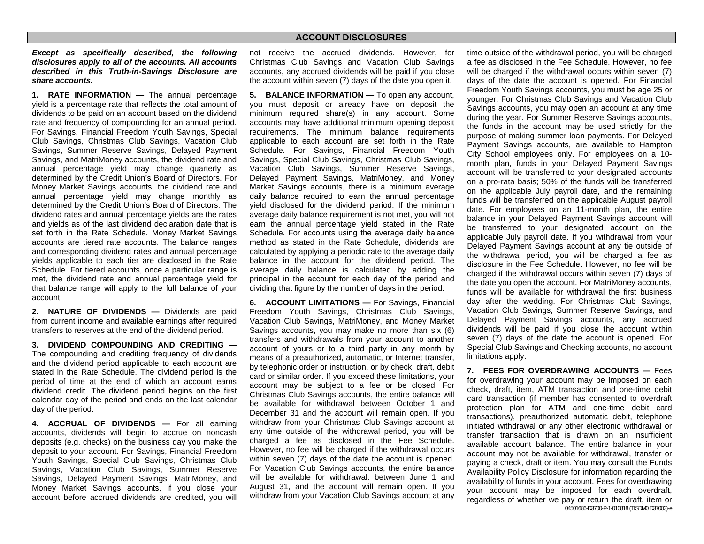## **ACCOUNT DISCLOSURES**

*Except as specifically described, the following disclosures apply to all of the accounts. All accounts described in this Truth-in-Savings Disclosure are share accounts.* 

**1. RATE INFORMATION —** The annual percentage yield is a percentage rate that reflects the total amount of dividends to be paid on an account based on the dividend rate and frequency of compounding for an annual period. For Savings, Financial Freedom Youth Savings, Special Club Savings, Christmas Club Savings, Vacation Club Savings, Summer Reserve Savings, Delayed Payment Savings, and MatriMoney accounts, the dividend rate and annual percentage yield may change quarterly as determined by the Credit Union's Board of Directors. For Money Market Savings accounts, the dividend rate and annual percentage yield may change monthly as determined by the Credit Union's Board of Directors. The dividend rates and annual percentage yields are the rates and yields as of the last dividend declaration date that is set forth in the Rate Schedule. Money Market Savings accounts are tiered rate accounts. The balance ranges and corresponding dividend rates and annual percentage yields applicable to each tier are disclosed in the Rate Schedule. For tiered accounts, once a particular range is met, the dividend rate and annual percentage yield for that balance range will apply to the full balance of your account.

**2. NATURE OF DIVIDENDS —** Dividends are paid from current income and available earnings after required transfers to reserves at the end of the dividend period.

**3. DIVIDEND COMPOUNDING AND CREDITING —**The compounding and crediting frequency of dividends and the dividend period applicable to each account are stated in the Rate Schedule. The dividend period is the period of time at the end of which an account earns dividend credit. The dividend period begins on the first calendar day of the period and ends on the last calendar day of the period.

**4. ACCRUAL OF DIVIDENDS —** For all earning accounts, dividends will begin to accrue on noncash deposits (e.g. checks) on the business day you make the deposit to your account. For Savings, Financial Freedom Youth Savings, Special Club Savings, Christmas Club Savings, Vacation Club Savings, Summer Reserve Savings, Delayed Payment Savings, MatriMoney, and Money Market Savings accounts, if you close your account before accrued dividends are credited, you will

not receive the accrued dividends. However, for Christmas Club Savings and Vacation Club Savings accounts, any accrued dividends will be paid if you close the account within seven (7) days of the date you open it.

**5. BALANCE INFORMATION —** To open any account, you must deposit or already have on deposit the minimum required share(s) in any account. Some accounts may have additional minimum opening deposit requirements. The minimum balance requirements applicable to each account are set forth in the Rate Schedule. For Savings, Financial Freedom Youth Savings, Special Club Savings, Christmas Club Savings, Vacation Club Savings, Summer Reserve Savings, Delayed Payment Savings, MatriMoney, and Money Market Savings accounts, there is a minimum average daily balance required to earn the annual percentage yield disclosed for the dividend period. If the minimum average daily balance requirement is not met, you will not earn the annual percentage yield stated in the Rate Schedule. For accounts using the average daily balance method as stated in the Rate Schedule, dividends are calculated by applying a periodic rate to the average daily balance in the account for the dividend period. The average daily balance is calculated by adding the principal in the account for each day of the period and dividing that figure by the number of days in the period.

**6. ACCOUNT LIMITATIONS — For Savings, Financial** Freedom Youth Savings, Christmas Club Savings, Vacation Club Savings, MatriMoney, and Money Market Savings accounts, you may make no more than six (6) transfers and withdrawals from your account to another account of yours or to a third party in any month by means of a preauthorized, automatic, or Internet transfer, by telephonic order or instruction, or by check, draft, debit card or similar order. If you exceed these limitations, your account may be subject to a fee or be closed. For Christmas Club Savings accounts, the entire balance will be available for withdrawal between October 1 and December 31 and the account will remain open. If you withdraw from your Christmas Club Savings account at any time outside of the withdrawal period, you will be charged a fee as disclosed in the Fee Schedule. However, no fee will be charged if the withdrawal occurs within seven (7) days of the date the account is opened. For Vacation Club Savings accounts, the entire balance will be available for withdrawal. between June 1 and August 31, and the account will remain open. If you withdraw from your Vacation Club Savings account at any

time outside of the withdrawal period, you will be charged a fee as disclosed in the Fee Schedule. However, no fee will be charged if the withdrawal occurs within seven (7) days of the date the account is opened. For Financial Freedom Youth Savings accounts, you must be age 25 or younger. For Christmas Club Savings and Vacation Club Savings accounts, you may open an account at any time during the year. For Summer Reserve Savings accounts, the funds in the account may be used strictly for the purpose of making summer loan payments. For Delayed Payment Savings accounts, are available to Hampton City School employees only. For employees on a 10 month plan, funds in your Delayed Payment Savings account will be transferred to your designated accounts on a pro-rata basis; 50% of the funds will be transferred on the applicable July payroll date, and the remaining funds will be transferred on the applicable August payroll date. For employees on an 11-month plan, the entire balance in your Delayed Payment Savings account will be transferred to your designated account on the applicable July payroll date. If you withdrawal from your Delayed Payment Savings account at any tie outside of the withdrawal period, you will be charged a fee as disclosure in the Fee Schedule. However, no fee will be charged if the withdrawal occurs within seven (7) days of the date you open the account. For MatriMoney accounts, funds will be available for withdrawal the first business day after the wedding. For Christmas Club Savings, Vacation Club Savings, Summer Reserve Savings, and Delayed Payment Savings accounts, any accrued dividends will be paid if you close the account within seven (7) days of the date the account is opened. For Special Club Savings and Checking accounts, no account limitations apply.

04501686-D3700-P-1-010818 (TISDM0 D37003)-e **7. FEES FOR OVERDRAWING ACCOUNTS —** Fees for overdrawing your account may be imposed on each check, draft, item, ATM transaction and one-time debit card transaction (if member has consented to overdraft protection plan for ATM and one-time debit card transactions), preauthorized automatic debit, telephone initiated withdrawal or any other electronic withdrawal or transfer transaction that is drawn on an insufficient available account balance. The entire balance in your account may not be available for withdrawal, transfer or paying a check, draft or item. You may consult the Funds Availability Policy Disclosure for information regarding the availability of funds in your account. Fees for overdrawing your account may be imposed for each overdraft, regardless of whether we pay or return the draft, item or